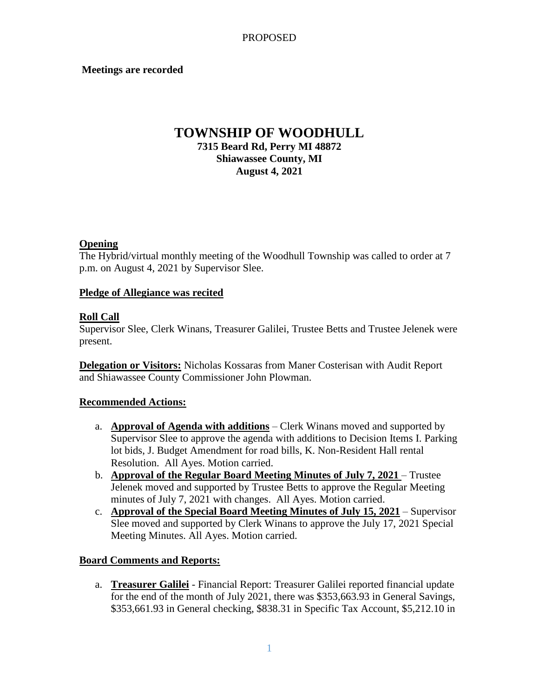### **Meetings are recorded**

# **TOWNSHIP OF WOODHULL 7315 Beard Rd, Perry MI 48872 Shiawassee County, MI August 4, 2021**

#### **Opening**

The Hybrid/virtual monthly meeting of the Woodhull Township was called to order at 7 p.m. on August 4, 2021 by Supervisor Slee.

### **Pledge of Allegiance was recited**

### **Roll Call**

Supervisor Slee, Clerk Winans, Treasurer Galilei, Trustee Betts and Trustee Jelenek were present.

**Delegation or Visitors:** Nicholas Kossaras from Maner Costerisan with Audit Report and Shiawassee County Commissioner John Plowman.

## **Recommended Actions:**

- a. **Approval of Agenda with additions** Clerk Winans moved and supported by Supervisor Slee to approve the agenda with additions to Decision Items I. Parking lot bids, J. Budget Amendment for road bills, K. Non-Resident Hall rental Resolution. All Ayes. Motion carried.
- b. **Approval of the Regular Board Meeting Minutes of July 7, 2021** Trustee Jelenek moved and supported by Trustee Betts to approve the Regular Meeting minutes of July 7, 2021 with changes. All Ayes. Motion carried.
- c. **Approval of the Special Board Meeting Minutes of July 15, 2021** Supervisor Slee moved and supported by Clerk Winans to approve the July 17, 2021 Special Meeting Minutes. All Ayes. Motion carried.

#### **Board Comments and Reports:**

a. **Treasurer Galilei** - Financial Report: Treasurer Galilei reported financial update for the end of the month of July 2021, there was \$353,663.93 in General Savings, \$353,661.93 in General checking, \$838.31 in Specific Tax Account, \$5,212.10 in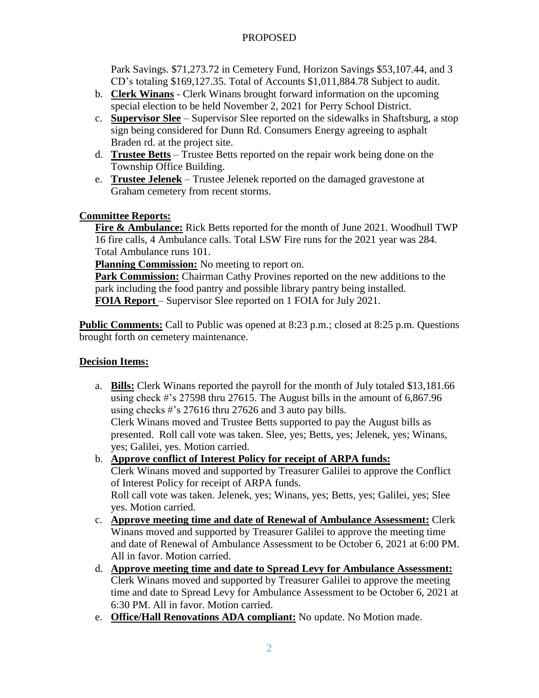## PROPOSED

Park Savings. \$71,273.72 in Cemetery Fund, Horizon Savings \$53,107.44, and 3 CD's totaling \$169,127.35. Total of Accounts \$1,011,884.78 Subject to audit.

- b. **Clerk Winans** Clerk Winans brought forward information on the upcoming special election to be held November 2, 2021 for Perry School District.
- c. **Supervisor Slee** Supervisor Slee reported on the sidewalks in Shaftsburg, a stop sign being considered for Dunn Rd. Consumers Energy agreeing to asphalt Braden rd. at the project site.
- d. **Trustee Betts** Trustee Betts reported on the repair work being done on the Township Office Building.
- e. **Trustee Jelenek** Trustee Jelenek reported on the damaged gravestone at Graham cemetery from recent storms.

## **Committee Reports:**

**Fire & Ambulance:** Rick Betts reported for the month of June 2021. Woodhull TWP 16 fire calls, 4 Ambulance calls. Total LSW Fire runs for the 2021 year was 284. Total Ambulance runs 101.

**Planning Commission:** No meeting to report on.

**Park Commission:** Chairman Cathy Provines reported on the new additions to the park including the food pantry and possible library pantry being installed. **FOIA Report** – Supervisor Slee reported on 1 FOIA for July 2021.

**Public Comments:** Call to Public was opened at 8:23 p.m.; closed at 8:25 p.m. Questions brought forth on cemetery maintenance.

# **Decision Items:**

a. **Bills:** Clerk Winans reported the payroll for the month of July totaled \$13,181.66 using check #'s 27598 thru 27615. The August bills in the amount of 6,867.96 using checks #'s 27616 thru 27626 and 3 auto pay bills.

Clerk Winans moved and Trustee Betts supported to pay the August bills as presented. Roll call vote was taken. Slee, yes; Betts, yes; Jelenek, yes; Winans, yes; Galilei, yes. Motion carried.

b. **Approve conflict of Interest Policy for receipt of ARPA funds:**

Clerk Winans moved and supported by Treasurer Galilei to approve the Conflict of Interest Policy for receipt of ARPA funds.

Roll call vote was taken. Jelenek, yes; Winans, yes; Betts, yes; Galilei, yes; Slee yes. Motion carried.

- c. **Approve meeting time and date of Renewal of Ambulance Assessment:** Clerk Winans moved and supported by Treasurer Galilei to approve the meeting time and date of Renewal of Ambulance Assessment to be October 6, 2021 at 6:00 PM. All in favor. Motion carried.
- d. **Approve meeting time and date to Spread Levy for Ambulance Assessment:** Clerk Winans moved and supported by Treasurer Galilei to approve the meeting time and date to Spread Levy for Ambulance Assessment to be October 6, 2021 at 6:30 PM. All in favor. Motion carried.
- e. **Office/Hall Renovations ADA compliant:** No update. No Motion made.